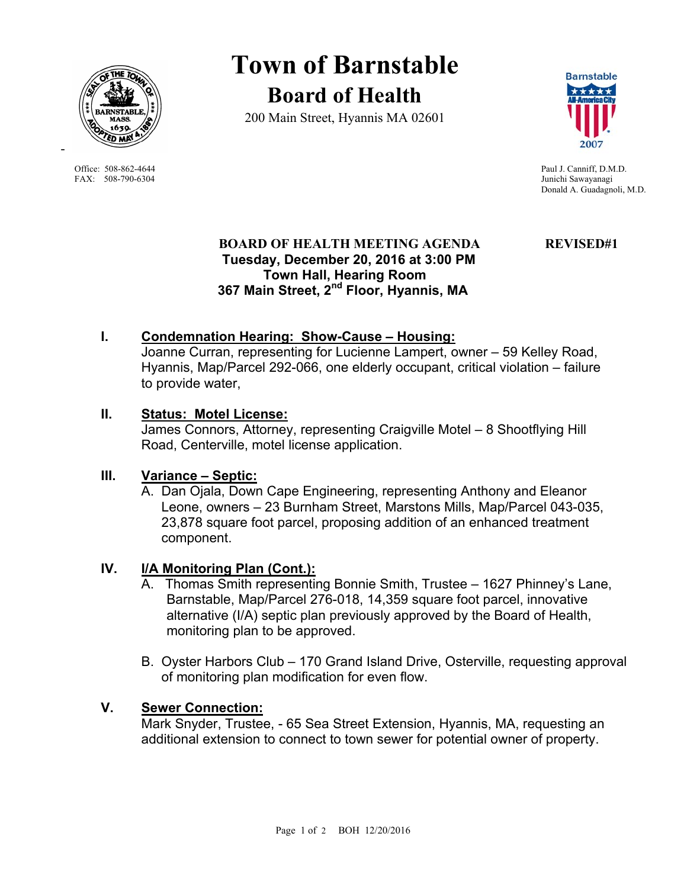

FAX: 508-790-6304 Junichi Sawayanagi

-

# **Town of Barnstable Board of Health**

200 Main Street, Hyannis MA 02601



Office: 508-862-4644 Paul J. Canniff, D.M.D. Donald A. Guadagnoli, M.D.

# **BOARD OF HEALTH MEETING AGENDA REVISED#1 Tuesday, December 20, 2016 at 3:00 PM Town Hall, Hearing Room 367 Main Street, 2nd Floor, Hyannis, MA**

# **I. Condemnation Hearing: Show-Cause – Housing:**

Joanne Curran, representing for Lucienne Lampert, owner – 59 Kelley Road, Hyannis, Map/Parcel 292-066, one elderly occupant, critical violation – failure to provide water,

# **II. Status: Motel License:**

James Connors, Attorney, representing Craigville Motel – 8 Shootflying Hill Road, Centerville, motel license application.

### **III. Variance – Septic:**

A. Dan Ojala, Down Cape Engineering, representing Anthony and Eleanor Leone, owners – 23 Burnham Street, Marstons Mills, Map/Parcel 043-035, 23,878 square foot parcel, proposing addition of an enhanced treatment component.

# **IV. I/A Monitoring Plan (Cont.):**

- A. Thomas Smith representing Bonnie Smith, Trustee 1627 Phinney's Lane, Barnstable, Map/Parcel 276-018, 14,359 square foot parcel, innovative alternative (I/A) septic plan previously approved by the Board of Health, monitoring plan to be approved.
- B. Oyster Harbors Club 170 Grand Island Drive, Osterville, requesting approval of monitoring plan modification for even flow.

### **V. Sewer Connection:**

 Mark Snyder, Trustee, - 65 Sea Street Extension, Hyannis, MA, requesting an additional extension to connect to town sewer for potential owner of property.